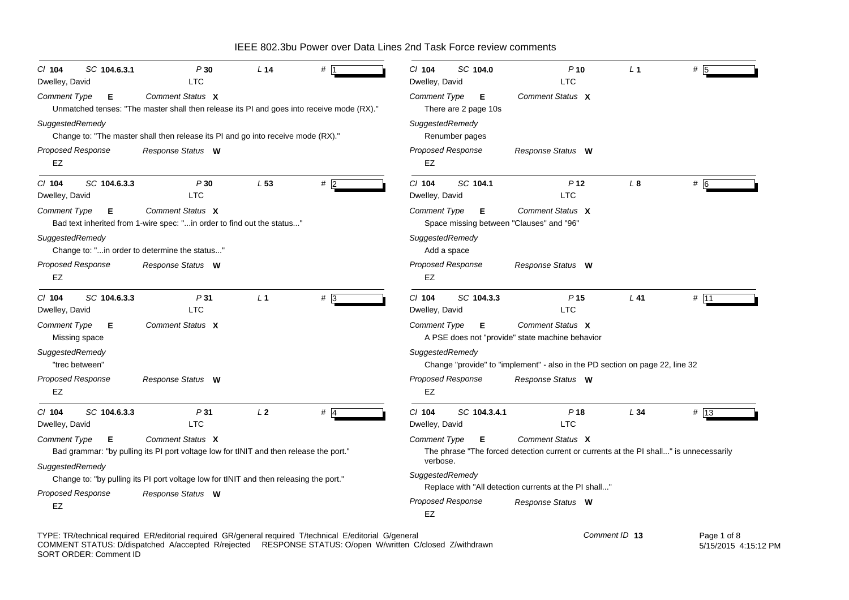| SC 104.6.3.1<br>$CI$ 104<br>Dwelley, David | P30<br><b>LTC</b>                                                                                             | L <sub>14</sub> |        | $CI$ 104<br>SC 104.0<br>Dwelley, David                               | $P$ 10<br><b>LTC</b>                                                                                       | L <sub>1</sub> | #           |
|--------------------------------------------|---------------------------------------------------------------------------------------------------------------|-----------------|--------|----------------------------------------------------------------------|------------------------------------------------------------------------------------------------------------|----------------|-------------|
| <b>Comment Type</b><br>Е                   | Comment Status X<br>Unmatched tenses: "The master shall then release its PI and goes into receive mode (RX)." |                 |        | <b>Comment Type</b><br>Е<br>There are 2 page 10s                     | Comment Status X                                                                                           |                |             |
| SuggestedRemedy                            | Change to: "The master shall then release its PI and go into receive mode (RX)."                              |                 |        | SuggestedRemedy<br>Renumber pages                                    |                                                                                                            |                |             |
| Proposed Response<br>EZ                    | Response Status W                                                                                             |                 |        | Proposed Response<br>EZ                                              | Response Status W                                                                                          |                |             |
| $CI$ 104<br>SC 104.6.3.3<br>Dwelley, David | P30<br><b>LTC</b>                                                                                             | L53             | $#$  2 | $CI$ 104<br>SC 104.1<br>Dwelley, David                               | P <sub>12</sub><br><b>LTC</b>                                                                              | L <sub>8</sub> | # 6         |
| <b>Comment Type</b><br>Е                   | Comment Status X<br>Bad text inherited from 1-wire spec: "in order to find out the status"                    |                 |        | <b>Comment Type</b><br>Е<br>Space missing between "Clauses" and "96" | Comment Status X                                                                                           |                |             |
| SuggestedRemedy                            | Change to: "in order to determine the status"                                                                 |                 |        | SuggestedRemedy<br>Add a space                                       |                                                                                                            |                |             |
| Proposed Response<br>EZ                    | Response Status W                                                                                             |                 |        | <b>Proposed Response</b><br>EZ                                       | Response Status W                                                                                          |                |             |
| SC 104.6.3.3<br>$CI$ 104<br>Dwelley, David | P31<br><b>LTC</b>                                                                                             | L <sub>1</sub>  | #3     | C/ 104<br>SC 104.3.3<br>Dwelley, David                               | P <sub>15</sub><br><b>LTC</b>                                                                              | $L$ 41         | # 11        |
| <b>Comment Type</b><br>Е<br>Missing space  | Comment Status X                                                                                              |                 |        | <b>Comment Type</b><br>Е                                             | Comment Status X<br>A PSE does not "provide" state machine behavior                                        |                |             |
| SuggestedRemedy<br>"trec between"          |                                                                                                               |                 |        | SuggestedRemedy                                                      | Change "provide" to "implement" - also in the PD section on page 22, line 32                               |                |             |
| <b>Proposed Response</b><br>EZ             | Response Status W                                                                                             |                 |        | <b>Proposed Response</b><br>EZ                                       | Response Status W                                                                                          |                |             |
| SC 104.6.3.3<br>$CI$ 104<br>Dwelley, David | P31<br><b>LTC</b>                                                                                             | L <sub>2</sub>  | $#$ 4  | $CI$ 104<br>SC 104.3.4.1<br>Dwelley, David                           | P <sub>18</sub><br><b>LTC</b>                                                                              | L34            | # 13        |
| <b>Comment Type</b><br>Е                   | Comment Status X<br>Bad grammar: "by pulling its PI port voltage low for tINIT and then release the port."    |                 |        | <b>Comment Type</b><br>Е<br>verbose.                                 | Comment Status X<br>The phrase "The forced detection current or currents at the PI shall" is unnecessarily |                |             |
| SuggestedRemedy                            | Change to: "by pulling its PI port voltage low for tINIT and then releasing the port."                        |                 |        | SuggestedRemedy                                                      |                                                                                                            |                |             |
| <b>Proposed Response</b><br>EZ             | Response Status W                                                                                             |                 |        | <b>Proposed Response</b><br>EZ                                       | Replace with "All detection currents at the PI shall"<br>Response Status W                                 |                |             |
|                                            | TYPE: TR/technical required ER/editorial required GR/general required T/technical E/editorial G/general       |                 |        |                                                                      |                                                                                                            | Comment ID 13  | Page 1 of 8 |

TYPE: TR/technical required ER/editorial required GR/general required T/technical E/editorial G/general COMMENT STATUS: D/dispatched A/accepted R/rejected RESPONSE STATUS: O/open W/written C/closed Z/withdrawn SORT ORDER: Comment ID  Page 1 of 8 5/15/2015 4:15:12 PM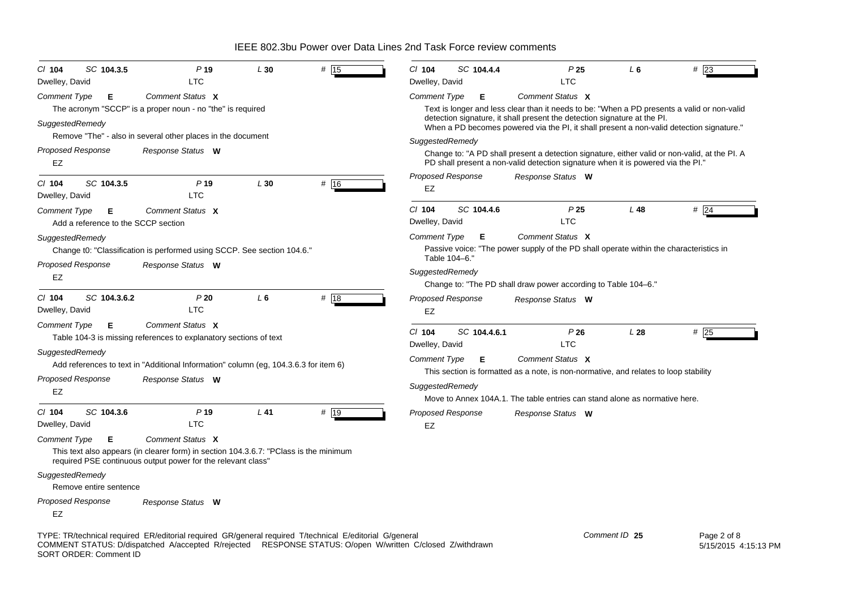| SC 104.3.5<br>CI 104                                            | P <sub>19</sub>                                                                                                                                                           | L30    | # 15 | SC 104.4.4<br>$Cl$ 104                     | P <sub>25</sub>                                                                                                                                                                   | L 6           | #23         |
|-----------------------------------------------------------------|---------------------------------------------------------------------------------------------------------------------------------------------------------------------------|--------|------|--------------------------------------------|-----------------------------------------------------------------------------------------------------------------------------------------------------------------------------------|---------------|-------------|
| Dwelley, David                                                  | LTC                                                                                                                                                                       |        |      | Dwelley, David                             | <b>LTC</b>                                                                                                                                                                        |               |             |
| Comment Type<br>Е                                               | Comment Status X                                                                                                                                                          |        |      | <b>Comment Type</b><br>Е                   | Comment Status X                                                                                                                                                                  |               |             |
|                                                                 | The acronym "SCCP" is a proper noun - no "the" is required                                                                                                                |        |      |                                            | Text is longer and less clear than it needs to be: "When a PD presents a valid or non-valid                                                                                       |               |             |
| SuggestedRemedy                                                 |                                                                                                                                                                           |        |      |                                            | detection signature, it shall present the detection signature at the PI.<br>When a PD becomes powered via the PI, it shall present a non-valid detection signature."              |               |             |
|                                                                 | Remove "The" - also in several other places in the document                                                                                                               |        |      | SuggestedRemedy                            |                                                                                                                                                                                   |               |             |
| Proposed Response<br>EZ                                         | Response Status W                                                                                                                                                         |        |      |                                            | Change to: "A PD shall present a detection signature, either valid or non-valid, at the PI. A<br>PD shall present a non-valid detection signature when it is powered via the PI." |               |             |
| SC 104.3.5<br>$Cl$ 104<br>Dwelley, David                        | P <sub>19</sub><br><b>LTC</b>                                                                                                                                             | L30    | # 16 | <b>Proposed Response</b><br>EZ             | Response Status W                                                                                                                                                                 |               |             |
| <b>Comment Type</b><br>Е<br>Add a reference to the SCCP section | Comment Status X                                                                                                                                                          |        |      | SC 104.4.6<br>$Cl$ 104<br>Dwelley, David   | P <sub>25</sub><br><b>LTC</b>                                                                                                                                                     | L48           | $#$ 24      |
|                                                                 |                                                                                                                                                                           |        |      | <b>Comment Type</b><br>Е                   | Comment Status X                                                                                                                                                                  |               |             |
| SuggestedRemedy                                                 | Change t0: "Classification is performed using SCCP. See section 104.6."                                                                                                   |        |      | Table 104-6.'                              | Passive voice: "The power supply of the PD shall operate within the characteristics in                                                                                            |               |             |
| Proposed Response<br><b>EZ</b>                                  | Response Status W                                                                                                                                                         |        |      | SuggestedRemedy                            | Change to: "The PD shall draw power according to Table 104–6."                                                                                                                    |               |             |
| C/ 104<br>SC 104.3.6.2<br>Dwelley, David                        | P20<br><b>LTC</b>                                                                                                                                                         | L6     | # 18 | <b>Proposed Response</b><br>EZ             | Response Status W                                                                                                                                                                 |               |             |
| <b>Comment Type</b><br>Е                                        | Comment Status X<br>Table 104-3 is missing references to explanatory sections of text                                                                                     |        |      | $Cl$ 104<br>SC 104.4.6.1<br>Dwelley, David | P26<br><b>LTC</b>                                                                                                                                                                 | L28           | $#$ 25      |
| SuggestedRemedy                                                 |                                                                                                                                                                           |        |      | <b>Comment Type</b><br>Е                   | Comment Status X                                                                                                                                                                  |               |             |
|                                                                 | Add references to text in "Additional Information" column (eg, 104.3.6.3 for item 6)                                                                                      |        |      |                                            | This section is formatted as a note, is non-normative, and relates to loop stability                                                                                              |               |             |
| Proposed Response<br>EZ                                         | Response Status W                                                                                                                                                         |        |      | SuggestedRemedy                            | Move to Annex 104A.1. The table entries can stand alone as normative here.                                                                                                        |               |             |
| SC 104.3.6<br>$Cl$ 104<br>Dwelley, David                        | P <sub>19</sub><br><b>LTC</b>                                                                                                                                             | $L$ 41 | # 19 | <b>Proposed Response</b><br>EZ             | Response Status W                                                                                                                                                                 |               |             |
| <b>Comment Type</b><br>Е                                        | Comment Status X<br>This text also appears (in clearer form) in section 104.3.6.7: "PClass is the minimum<br>required PSE continuous output power for the relevant class" |        |      |                                            |                                                                                                                                                                                   |               |             |
|                                                                 |                                                                                                                                                                           |        |      |                                            |                                                                                                                                                                                   |               |             |
| SuggestedRemedy<br>Remove entire sentence                       |                                                                                                                                                                           |        |      |                                            |                                                                                                                                                                                   |               |             |
| Proposed Response<br><b>EZ</b>                                  | Response Status W                                                                                                                                                         |        |      |                                            |                                                                                                                                                                                   |               |             |
|                                                                 | TYPE: TR/technical required ER/editorial required GR/general required T/technical E/editorial G/general                                                                   |        |      |                                            |                                                                                                                                                                                   | Comment ID 25 | Page 2 of 8 |

COMMENT STATUS: D/dispatched A/accepted R/rejected RESPONSE STATUS: O/open W/written C/closed Z/withdrawn SORT ORDER: Comment ID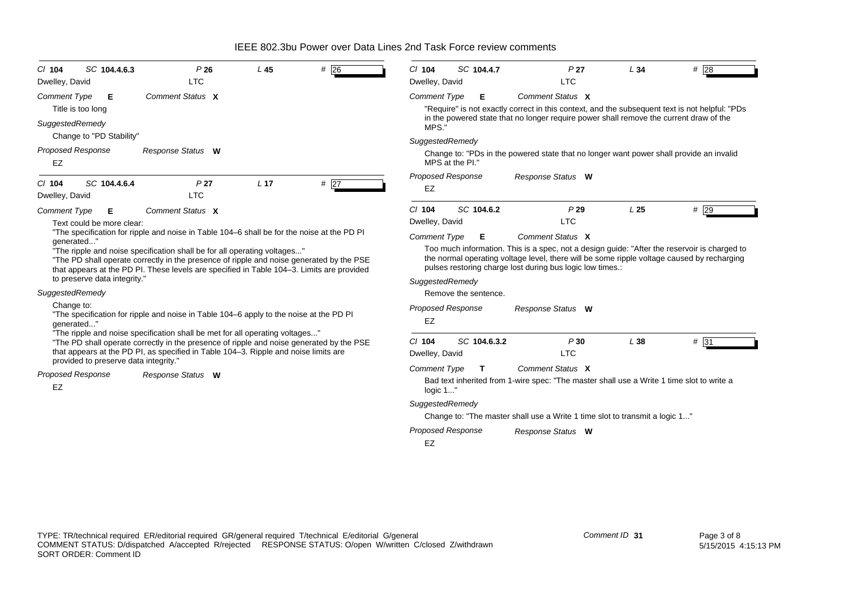| SC 104.4.6.3<br>$CI$ 104<br>Dwelley, David                                                                                                                                                                                                                        | P26<br><b>LTC</b>                                                                                                                                                                                                                                               | L45             | #26 | $Cl$ 104<br>Dwelley, David                                                                                                                                                                                                                              |                 | SC 104.4.7           | P <sub>27</sub><br><b>LTC</b>                                                                                                                                                            | L34           | #28               |
|-------------------------------------------------------------------------------------------------------------------------------------------------------------------------------------------------------------------------------------------------------------------|-----------------------------------------------------------------------------------------------------------------------------------------------------------------------------------------------------------------------------------------------------------------|-----------------|-----|---------------------------------------------------------------------------------------------------------------------------------------------------------------------------------------------------------------------------------------------------------|-----------------|----------------------|------------------------------------------------------------------------------------------------------------------------------------------------------------------------------------------|---------------|-------------------|
| <b>Comment Type</b><br>Е                                                                                                                                                                                                                                          | Comment Status X                                                                                                                                                                                                                                                |                 |     | <b>Comment Type</b>                                                                                                                                                                                                                                     |                 | Е                    | Comment Status X                                                                                                                                                                         |               |                   |
| Title is too long                                                                                                                                                                                                                                                 |                                                                                                                                                                                                                                                                 |                 |     |                                                                                                                                                                                                                                                         |                 |                      | "Require" is not exactly correct in this context, and the subsequent text is not helpful: "PDs<br>in the powered state that no longer require power shall remove the current draw of the |               |                   |
| SuggestedRemedy<br>Change to "PD Stability"                                                                                                                                                                                                                       |                                                                                                                                                                                                                                                                 |                 |     | MPS.                                                                                                                                                                                                                                                    |                 |                      |                                                                                                                                                                                          |               |                   |
| <b>Proposed Response</b>                                                                                                                                                                                                                                          | Response Status W                                                                                                                                                                                                                                               |                 |     | SuggestedRemedy                                                                                                                                                                                                                                         |                 |                      |                                                                                                                                                                                          |               |                   |
| EZ                                                                                                                                                                                                                                                                |                                                                                                                                                                                                                                                                 |                 |     |                                                                                                                                                                                                                                                         | MPS at the PI." |                      | Change to: "PDs in the powered state that no longer want power shall provide an invalid                                                                                                  |               |                   |
| SC 104.4.6.4<br>$CI$ 104<br>Dwelley, David                                                                                                                                                                                                                        | P <sub>27</sub><br><b>LTC</b>                                                                                                                                                                                                                                   | L <sub>17</sub> | #27 | Proposed Response<br>EZ                                                                                                                                                                                                                                 |                 |                      | Response Status W                                                                                                                                                                        |               |                   |
| <b>Comment Type</b><br>Е                                                                                                                                                                                                                                          | Comment Status X                                                                                                                                                                                                                                                |                 |     | $Cl$ 104                                                                                                                                                                                                                                                |                 | SC 104.6.2           | P29                                                                                                                                                                                      | L25           | #29               |
| Text could be more clear:                                                                                                                                                                                                                                         |                                                                                                                                                                                                                                                                 |                 |     | Dwelley, David                                                                                                                                                                                                                                          |                 |                      | <b>LTC</b>                                                                                                                                                                               |               |                   |
| qenerated"                                                                                                                                                                                                                                                        | "The specification for ripple and noise in Table 104-6 shall be for the noise at the PD PI                                                                                                                                                                      |                 |     | <b>Comment Type</b>                                                                                                                                                                                                                                     |                 | Е                    | Comment Status X                                                                                                                                                                         |               |                   |
| "The ripple and noise specification shall be for all operating voltages"<br>"The PD shall operate correctly in the presence of ripple and noise generated by the PSE<br>that appears at the PD PI. These levels are specified in Table 104–3. Limits are provided |                                                                                                                                                                                                                                                                 |                 |     | Too much information. This is a spec, not a design guide: "After the reservoir is charged to<br>the normal operating voltage level, there will be some ripple voltage caused by recharging<br>pulses restoring charge lost during bus logic low times.: |                 |                      |                                                                                                                                                                                          |               |                   |
| to preserve data integrity."                                                                                                                                                                                                                                      |                                                                                                                                                                                                                                                                 |                 |     | SuggestedRemedy                                                                                                                                                                                                                                         |                 |                      |                                                                                                                                                                                          |               |                   |
| SuggestedRemedy                                                                                                                                                                                                                                                   |                                                                                                                                                                                                                                                                 |                 |     |                                                                                                                                                                                                                                                         |                 | Remove the sentence. |                                                                                                                                                                                          |               |                   |
| Change to:<br>"The specification for ripple and noise in Table 104–6 apply to the noise at the PD PI<br>qenerated"                                                                                                                                                |                                                                                                                                                                                                                                                                 |                 |     | <b>Proposed Response</b><br>EZ                                                                                                                                                                                                                          |                 |                      | Response Status W                                                                                                                                                                        |               |                   |
|                                                                                                                                                                                                                                                                   | "The ripple and noise specification shall be met for all operating voltages"<br>"The PD shall operate correctly in the presence of ripple and noise generated by the PSE<br>that appears at the PD PI, as specified in Table 104–3. Ripple and noise limits are |                 |     | $CI$ 104<br>Dwelley, David                                                                                                                                                                                                                              |                 | SC 104.6.3.2         | P30<br><b>LTC</b>                                                                                                                                                                        | L38           | $# \overline{31}$ |
| provided to preserve data integrity."                                                                                                                                                                                                                             |                                                                                                                                                                                                                                                                 |                 |     | <b>Comment Type</b>                                                                                                                                                                                                                                     |                 | T.                   | Comment Status X                                                                                                                                                                         |               |                   |
| <b>Proposed Response</b><br><b>EZ</b>                                                                                                                                                                                                                             | Response Status W                                                                                                                                                                                                                                               |                 |     | Bad text inherited from 1-wire spec: "The master shall use a Write 1 time slot to write a<br>logic 1"                                                                                                                                                   |                 |                      |                                                                                                                                                                                          |               |                   |
|                                                                                                                                                                                                                                                                   |                                                                                                                                                                                                                                                                 |                 |     | SuggestedRemedy                                                                                                                                                                                                                                         |                 |                      |                                                                                                                                                                                          |               |                   |
|                                                                                                                                                                                                                                                                   |                                                                                                                                                                                                                                                                 |                 |     |                                                                                                                                                                                                                                                         |                 |                      | Change to: "The master shall use a Write 1 time slot to transmit a logic 1"                                                                                                              |               |                   |
|                                                                                                                                                                                                                                                                   |                                                                                                                                                                                                                                                                 |                 |     | <b>Proposed Response</b>                                                                                                                                                                                                                                |                 |                      | Response Status W                                                                                                                                                                        |               |                   |
|                                                                                                                                                                                                                                                                   |                                                                                                                                                                                                                                                                 |                 |     | EZ                                                                                                                                                                                                                                                      |                 |                      |                                                                                                                                                                                          |               |                   |
|                                                                                                                                                                                                                                                                   |                                                                                                                                                                                                                                                                 |                 |     |                                                                                                                                                                                                                                                         |                 |                      |                                                                                                                                                                                          |               |                   |
|                                                                                                                                                                                                                                                                   | TYPE: TR/technical required ER/editorial required GR/general required T/technical E/editorial G/general                                                                                                                                                         |                 |     |                                                                                                                                                                                                                                                         |                 |                      |                                                                                                                                                                                          | Comment ID 31 | Page 3 of 8       |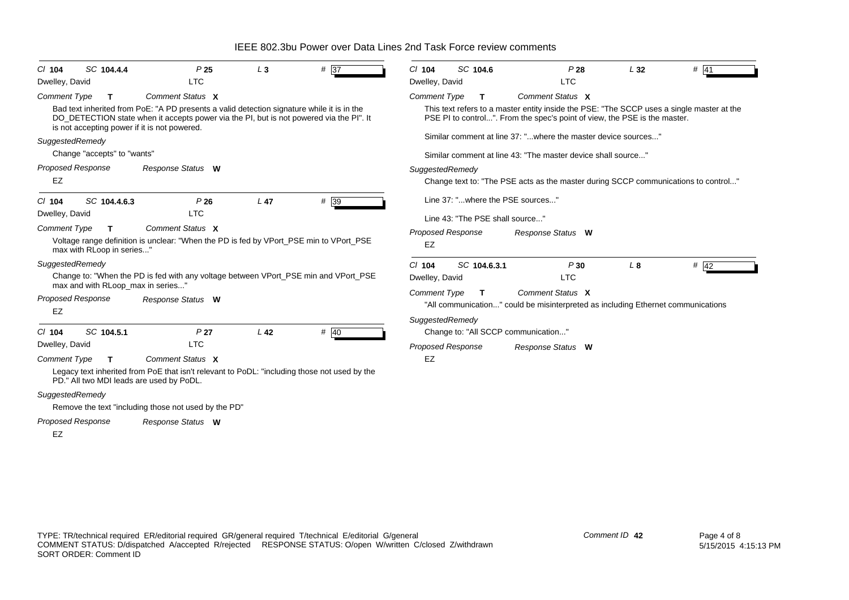| $CI$ 104                                         | SC 104.4.4   | P <sub>25</sub>                                                                                                                                                                                                                       | $L_3$           | # 37              | $Cl$ 104                               | SC 104.6     | P28                                                                                                                                                                    | L32            | # 41   |
|--------------------------------------------------|--------------|---------------------------------------------------------------------------------------------------------------------------------------------------------------------------------------------------------------------------------------|-----------------|-------------------|----------------------------------------|--------------|------------------------------------------------------------------------------------------------------------------------------------------------------------------------|----------------|--------|
| Dwelley, David                                   |              | <b>LTC</b>                                                                                                                                                                                                                            |                 |                   | Dwelley, David                         |              | <b>LTC</b>                                                                                                                                                             |                |        |
| <b>Comment Type</b>                              | т            | Comment Status X                                                                                                                                                                                                                      |                 |                   | <b>Comment Type</b>                    | т            | Comment Status X                                                                                                                                                       |                |        |
|                                                  |              | Bad text inherited from PoE: "A PD presents a valid detection signature while it is in the<br>DO_DETECTION state when it accepts power via the PI, but is not powered via the PI". It<br>is not accepting power if it is not powered. |                 |                   |                                        |              | This text refers to a master entity inside the PSE: "The SCCP uses a single master at the<br>PSE PI to control". From the spec's point of view, the PSE is the master. |                |        |
| SuggestedRemedy                                  |              |                                                                                                                                                                                                                                       |                 |                   |                                        |              | Similar comment at line 37: "where the master device sources"                                                                                                          |                |        |
| Change "accepts" to "wants"                      |              |                                                                                                                                                                                                                                       |                 |                   |                                        |              | Similar comment at line 43: "The master device shall source"                                                                                                           |                |        |
| <b>Proposed Response</b>                         |              | Response Status W                                                                                                                                                                                                                     |                 |                   | SuggestedRemedy                        |              |                                                                                                                                                                        |                |        |
| EZ                                               |              |                                                                                                                                                                                                                                       |                 |                   |                                        |              | Change text to: "The PSE acts as the master during SCCP communications to control"                                                                                     |                |        |
| $CI$ 104                                         | SC 104.4.6.3 | P26                                                                                                                                                                                                                                   | L <sub>47</sub> | # 39              |                                        |              | Line 37: "where the PSE sources"                                                                                                                                       |                |        |
| Dwelley, David                                   |              | <b>LTC</b>                                                                                                                                                                                                                            |                 |                   | Line 43: "The PSE shall source"        |              |                                                                                                                                                                        |                |        |
| <b>Comment Type</b><br>max with RLoop in series" | T.           | Comment Status X<br>Voltage range definition is unclear: "When the PD is fed by VPort_PSE min to VPort_PSE                                                                                                                            |                 |                   | Proposed Response<br><b>EZ</b>         |              | Response Status W                                                                                                                                                      |                |        |
| SuggestedRemedy                                  |              | Change to: "When the PD is fed with any voltage between VPort_PSE min and VPort_PSE<br>max and with RLoop_max in series"                                                                                                              |                 |                   | $Cl$ 104<br>Dwelley, David             | SC 104.6.3.1 | P30<br><b>LTC</b>                                                                                                                                                      | L <sub>8</sub> | $#$ 42 |
| Proposed Response<br><b>EZ</b>                   |              | Response Status W                                                                                                                                                                                                                     |                 |                   | <b>Comment Type</b><br>SuggestedRemedy | T.           | Comment Status X<br>"All communication" could be misinterpreted as including Ethernet communications                                                                   |                |        |
| $Cl$ 104                                         | SC 104.5.1   | P <sub>27</sub>                                                                                                                                                                                                                       | L <sub>42</sub> | $# \overline{40}$ |                                        |              | Change to: "All SCCP communication"                                                                                                                                    |                |        |
| Dwelley, David                                   |              | <b>LTC</b>                                                                                                                                                                                                                            |                 |                   | <b>Proposed Response</b>               |              | Response Status W                                                                                                                                                      |                |        |
| <b>Comment Type</b>                              | т            | Comment Status X                                                                                                                                                                                                                      |                 |                   | EZ                                     |              |                                                                                                                                                                        |                |        |
|                                                  |              | Legacy text inherited from PoE that isn't relevant to PoDL: "including those not used by the<br>PD." All two MDI leads are used by PoDL.                                                                                              |                 |                   |                                        |              |                                                                                                                                                                        |                |        |
| SuggestedRemedy                                  |              |                                                                                                                                                                                                                                       |                 |                   |                                        |              |                                                                                                                                                                        |                |        |
|                                                  |              | Remove the text "including those not used by the PD"                                                                                                                                                                                  |                 |                   |                                        |              |                                                                                                                                                                        |                |        |
| Proposed Response<br>EZ                          |              | Response Status W                                                                                                                                                                                                                     |                 |                   |                                        |              |                                                                                                                                                                        |                |        |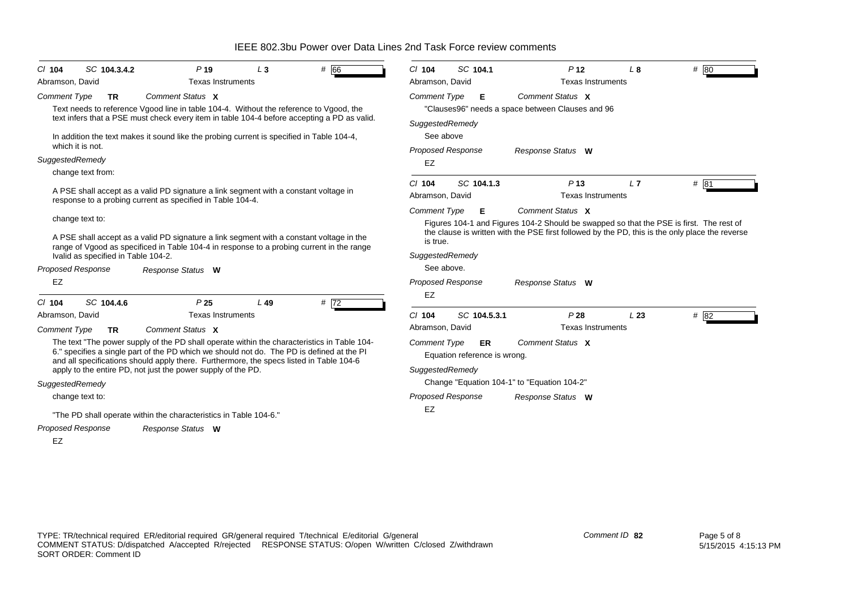|  |  |  |  |  | IEEE 802.3bu Power over Data Lines 2nd Task Force review comments |
|--|--|--|--|--|-------------------------------------------------------------------|
|--|--|--|--|--|-------------------------------------------------------------------|

| SC 104.3.4.2<br># 66<br>P <sub>19</sub><br>$CI$ 104<br>$L_3$<br>Abramson, David<br><b>Texas Instruments</b>                                                                                                                                                                         | SC 104.1<br># $80$<br>$Cl$ 104<br>P <sub>12</sub><br>L <sub>8</sub><br>Abramson, David<br>Texas Instruments                      |  |  |  |  |  |
|-------------------------------------------------------------------------------------------------------------------------------------------------------------------------------------------------------------------------------------------------------------------------------------|----------------------------------------------------------------------------------------------------------------------------------|--|--|--|--|--|
| Comment Status X<br><b>Comment Type</b><br>TR<br>Text needs to reference Vgood line in table 104-4. Without the reference to Vgood, the<br>text infers that a PSE must check every item in table 104-4 before accepting a PD as valid.                                              | Comment Status X<br><b>Comment Type</b><br>Е<br>"Clauses96" needs a space between Clauses and 96<br>SuggestedRemedy              |  |  |  |  |  |
| In addition the text makes it sound like the probing current is specified in Table 104-4,<br>which it is not.                                                                                                                                                                       | See above<br><b>Proposed Response</b><br>Response Status W                                                                       |  |  |  |  |  |
| SuggestedRemedy                                                                                                                                                                                                                                                                     | EZ                                                                                                                               |  |  |  |  |  |
| change text from:                                                                                                                                                                                                                                                                   |                                                                                                                                  |  |  |  |  |  |
| A PSE shall accept as a valid PD signature a link segment with a constant voltage in<br>response to a probing current as specified in Table 104-4.                                                                                                                                  | SC 104.1.3<br>P <sub>13</sub><br>L7<br># 81<br>$Cl$ 104<br>Abramson, David<br><b>Texas Instruments</b>                           |  |  |  |  |  |
| change text to:                                                                                                                                                                                                                                                                     | Comment Type<br>Comment Status X<br>Е<br>Figures 104-1 and Figures 104-2 Should be swapped so that the PSE is first. The rest of |  |  |  |  |  |
| A PSE shall accept as a valid PD signature a link segment with a constant voltage in the<br>range of Vgood as specificed in Table 104-4 in response to a probing current in the range                                                                                               | the clause is written with the PSE first followed by the PD, this is the only place the reverse<br>is true.                      |  |  |  |  |  |
| Ivalid as specified in Table 104-2.                                                                                                                                                                                                                                                 | SuggestedRemedy                                                                                                                  |  |  |  |  |  |
| Proposed Response<br>Response Status W                                                                                                                                                                                                                                              | See above.                                                                                                                       |  |  |  |  |  |
| <b>EZ</b>                                                                                                                                                                                                                                                                           | <b>Proposed Response</b><br>Response Status W<br>EZ                                                                              |  |  |  |  |  |
| SC 104.4.6<br>P <sub>25</sub><br>#72<br>$Cl$ 104<br>L49                                                                                                                                                                                                                             |                                                                                                                                  |  |  |  |  |  |
| <b>Texas Instruments</b><br>Abramson, David                                                                                                                                                                                                                                         | SC 104.5.3.1<br>P28<br># $82$<br>$CI$ 104<br>L <sub>23</sub>                                                                     |  |  |  |  |  |
| Comment Status X<br><b>Comment Type</b><br><b>TR</b>                                                                                                                                                                                                                                | Abramson, David<br><b>Texas Instruments</b>                                                                                      |  |  |  |  |  |
| The text "The power supply of the PD shall operate within the characteristics in Table 104-<br>6." specifies a single part of the PD which we should not do. The PD is defined at the PI<br>and all specifications should apply there. Furthermore, the specs listed in Table 104-6 | Comment Status X<br><b>Comment Type</b><br>ER<br>Equation reference is wrong.                                                    |  |  |  |  |  |
| apply to the entire PD, not just the power supply of the PD.                                                                                                                                                                                                                        | SuggestedRemedy                                                                                                                  |  |  |  |  |  |
| SuggestedRemedy                                                                                                                                                                                                                                                                     | Change "Equation 104-1" to "Equation 104-2"                                                                                      |  |  |  |  |  |
| change text to:                                                                                                                                                                                                                                                                     | <b>Proposed Response</b><br>Response Status W                                                                                    |  |  |  |  |  |
| "The PD shall operate within the characteristics in Table 104-6."                                                                                                                                                                                                                   | EZ                                                                                                                               |  |  |  |  |  |
| <b>Proposed Response</b><br>Response Status W                                                                                                                                                                                                                                       |                                                                                                                                  |  |  |  |  |  |
| <b>EZ</b>                                                                                                                                                                                                                                                                           |                                                                                                                                  |  |  |  |  |  |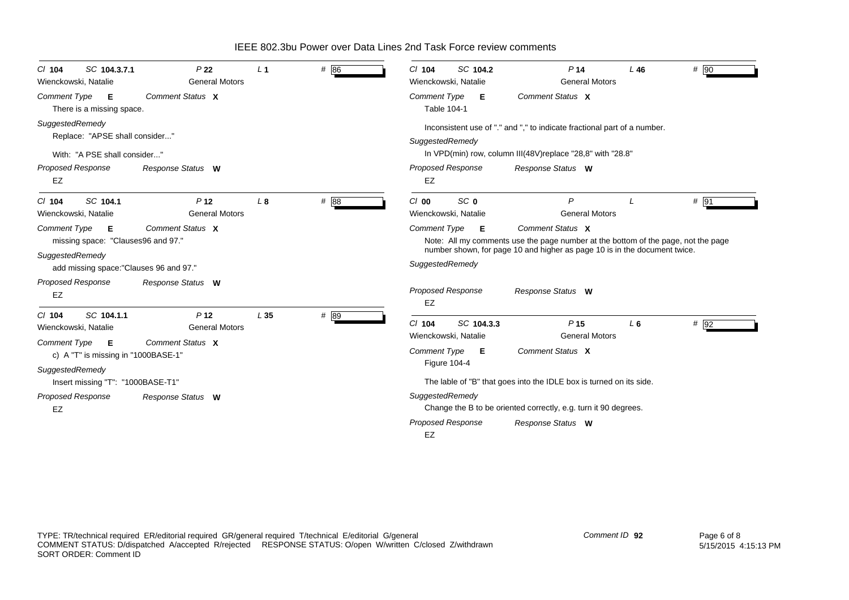| SC 104.3.7.1<br>$CI$ 104<br>Wienckowski, Natalie                                                                         | P <sub>22</sub><br><b>General Motors</b>                     | L <sub>1</sub>  | # 86 | SC 104.2<br>$Cl$ 104<br>Wienckowski, Natalie                                                      | P <sub>14</sub><br><b>General Motors</b>                                                                                                | L46<br>$#$ 90 |
|--------------------------------------------------------------------------------------------------------------------------|--------------------------------------------------------------|-----------------|------|---------------------------------------------------------------------------------------------------|-----------------------------------------------------------------------------------------------------------------------------------------|---------------|
| <b>Comment Type</b><br>- E<br>There is a missing space.                                                                  | Comment Status X                                             |                 |      | <b>Comment Type</b><br>Е<br>Table 104-1                                                           | Comment Status X                                                                                                                        |               |
| SuggestedRemedy<br>Replace: "APSE shall consider"<br>With: "A PSE shall consider"                                        |                                                              |                 |      | SuggestedRemedy                                                                                   | Inconsistent use of "." and "," to indicate fractional part of a number.<br>In VPD(min) row, column III(48V) replace "28,8" with "28.8" |               |
| <b>Proposed Response</b><br>EZ                                                                                           | Response Status W                                            |                 |      | <b>Proposed Response</b><br>EZ                                                                    | Response Status W                                                                                                                       |               |
| SC 104.1<br>$CI$ 104<br>Wienckowski, Natalie<br><b>Comment Type</b><br>E<br>missing space: "Clauses96 and 97."           | P <sub>12</sub><br><b>General Motors</b><br>Comment Status X | $L_{\rm 8}$     | # 88 | SC <sub>0</sub><br>$Cl$ 00<br>Wienckowski, Natalie<br>Comment Type<br>E                           | P<br><b>General Motors</b><br>Comment Status X<br>Note: All my comments use the page number at the bottom of the page, not the page     | # 91          |
| SuggestedRemedy<br>add missing space: "Clauses 96 and 97."<br>Proposed Response                                          |                                                              |                 |      | SuggestedRemedy                                                                                   | number shown, for page 10 and higher as page 10 is in the document twice.                                                               |               |
| EZ                                                                                                                       | Response Status W                                            |                 |      | <b>Proposed Response</b><br>EZ                                                                    | Response Status W                                                                                                                       |               |
| SC 104.1.1<br>$Cl$ 104<br>Wienckowski, Natalie<br><b>Comment Type</b><br><b>E</b><br>c) A "T" is missing in "1000BASE-1" | P <sub>12</sub><br><b>General Motors</b><br>Comment Status X | L <sub>35</sub> | # 89 | SC 104.3.3<br>$Cl$ 104<br>Wienckowski, Natalie<br><b>Comment Type</b><br>Е<br><b>Figure 104-4</b> | P <sub>15</sub><br><b>General Motors</b><br>Comment Status X                                                                            | # 92<br>$L_6$ |
| SuggestedRemedy<br>Insert missing "T": "1000BASE-T1"                                                                     |                                                              |                 |      |                                                                                                   | The lable of "B" that goes into the IDLE box is turned on its side.                                                                     |               |
| Proposed Response<br>EZ                                                                                                  | Response Status W                                            |                 |      | SuggestedRemedy<br><b>Proposed Response</b><br>EZ                                                 | Change the B to be oriented correctly, e.g. turn it 90 degrees.<br>Response Status W                                                    |               |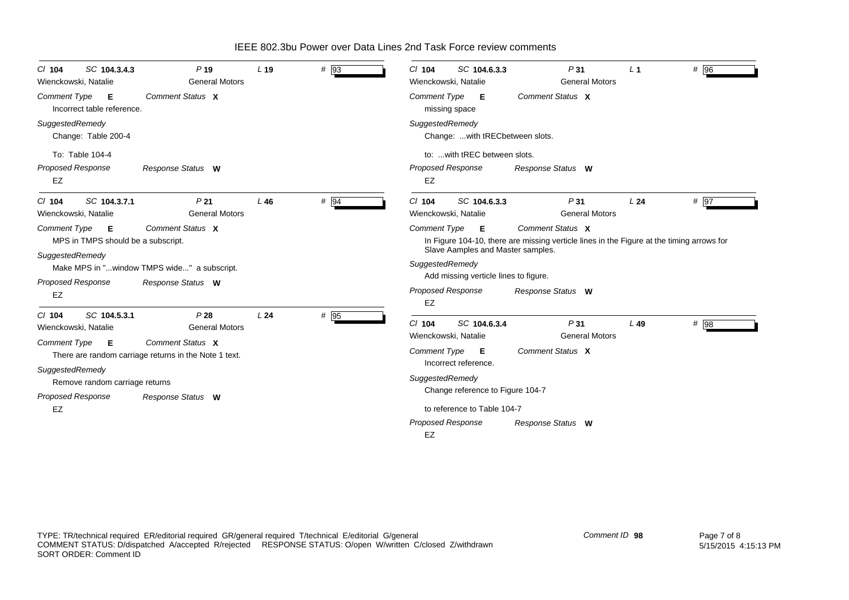| SC 104.3.4.3<br>$Cl$ 104<br>Wienckowski, Natalie               | $P$ 19<br><b>General Motors</b>                                           | L <sub>19</sub> | # 93 | SC 104.6.3.3<br>$Cl$ 104<br>Wienckowski, Natalie     | P31<br><b>General Motors</b>                                                                                  | L <sub>1</sub> | # 96    |
|----------------------------------------------------------------|---------------------------------------------------------------------------|-----------------|------|------------------------------------------------------|---------------------------------------------------------------------------------------------------------------|----------------|---------|
| <b>Comment Type</b><br>E<br>Incorrect table reference.         | Comment Status X                                                          |                 |      | Comment Type <b>E</b><br>missing space               | Comment Status X                                                                                              |                |         |
| SuggestedRemedy<br>Change: Table 200-4                         |                                                                           |                 |      | SuggestedRemedy<br>Change:  with tRECbetween slots.  |                                                                                                               |                |         |
| To: Table 104-4                                                |                                                                           |                 |      | to:  with tREC between slots.                        |                                                                                                               |                |         |
| Proposed Response<br>EZ                                        | Response Status W                                                         |                 |      | <b>Proposed Response</b><br>EZ                       | Response Status W                                                                                             |                |         |
| SC 104.3.7.1<br>$CI$ 104<br>Wienckowski, Natalie               | P <sub>21</sub><br><b>General Motors</b>                                  | L46             | # 94 | SC 104.6.3.3<br>$Cl$ 104<br>Wienckowski, Natalie     | P31<br><b>General Motors</b>                                                                                  | L24            | $\#$ 97 |
| <b>Comment Type</b><br>E<br>MPS in TMPS should be a subscript. | Comment Status X                                                          |                 |      | Comment Type E                                       | Comment Status X<br>In Figure 104-10, there are missing verticle lines in the Figure at the timing arrows for |                |         |
| SuggestedRemedy                                                | Make MPS in "window TMPS wide" a subscript.                               |                 |      | Slave Aamples and Master samples.<br>SuggestedRemedy |                                                                                                               |                |         |
| Proposed Response                                              | Response Status W                                                         |                 |      | Add missing verticle lines to figure.                |                                                                                                               |                |         |
| <b>EZ</b>                                                      |                                                                           |                 |      | <b>Proposed Response</b><br>EZ                       | Response Status W                                                                                             |                |         |
| SC 104.5.3.1<br>$Cl$ 104<br>Wienckowski, Natalie               | P28<br><b>General Motors</b>                                              | L24             | # 95 | SC 104.6.3.4<br>$Cl$ 104<br>Wienckowski, Natalie     | P31<br><b>General Motors</b>                                                                                  | $L$ 49         | # 98    |
| <b>Comment Type</b><br>E                                       | Comment Status X<br>There are random carriage returns in the Note 1 text. |                 |      | Comment Type E                                       | Comment Status X                                                                                              |                |         |
| SuggestedRemedy<br>Remove random carriage returns              |                                                                           |                 |      | Incorrect reference.<br>SuggestedRemedy              |                                                                                                               |                |         |
| Proposed Response                                              | Response Status W                                                         |                 |      | Change reference to Figure 104-7                     |                                                                                                               |                |         |
| EZ                                                             |                                                                           |                 |      | to reference to Table 104-7                          |                                                                                                               |                |         |
|                                                                |                                                                           |                 |      | <b>Proposed Response</b><br><b>EZ</b>                | Response Status W                                                                                             |                |         |

*Comment ID* **98**